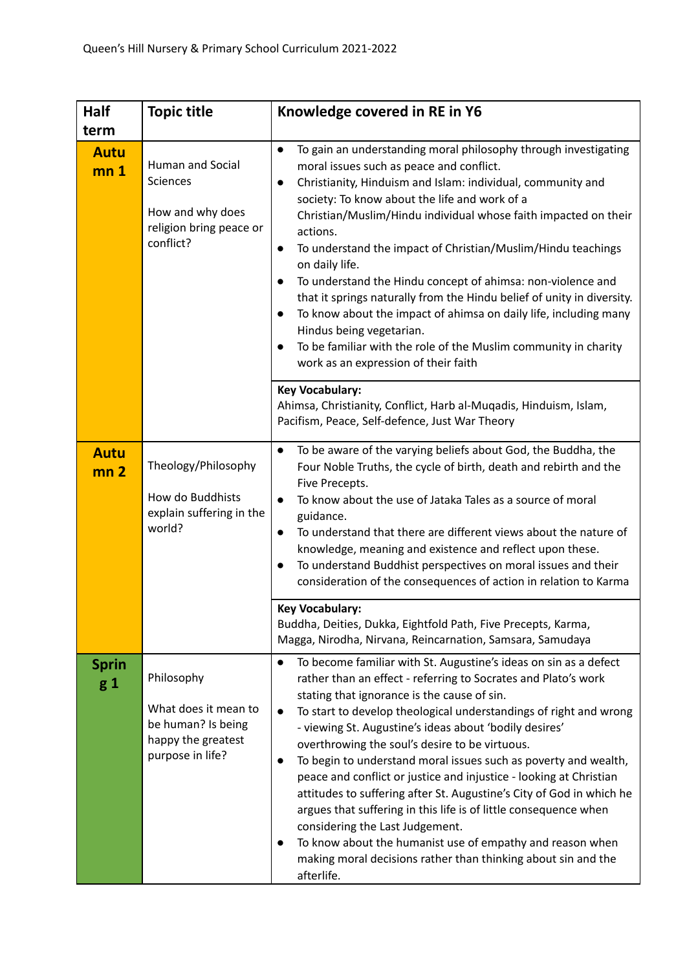| Half                           | <b>Topic title</b>                                                                                 | Knowledge covered in RE in Y6                                                                                                                                                                                                                                                                                                                                                                                                                                                                                                                                                                                                                                                                                                                                                                                                                                    |
|--------------------------------|----------------------------------------------------------------------------------------------------|------------------------------------------------------------------------------------------------------------------------------------------------------------------------------------------------------------------------------------------------------------------------------------------------------------------------------------------------------------------------------------------------------------------------------------------------------------------------------------------------------------------------------------------------------------------------------------------------------------------------------------------------------------------------------------------------------------------------------------------------------------------------------------------------------------------------------------------------------------------|
| term                           |                                                                                                    |                                                                                                                                                                                                                                                                                                                                                                                                                                                                                                                                                                                                                                                                                                                                                                                                                                                                  |
| <b>Autu</b><br>mn <sub>1</sub> | Human and Social<br>Sciences<br>How and why does<br>religion bring peace or<br>conflict?           | To gain an understanding moral philosophy through investigating<br>$\bullet$<br>moral issues such as peace and conflict.<br>Christianity, Hinduism and Islam: individual, community and<br>$\bullet$<br>society: To know about the life and work of a<br>Christian/Muslim/Hindu individual whose faith impacted on their<br>actions.<br>To understand the impact of Christian/Muslim/Hindu teachings<br>$\bullet$<br>on daily life.<br>To understand the Hindu concept of ahimsa: non-violence and<br>that it springs naturally from the Hindu belief of unity in diversity.<br>To know about the impact of ahimsa on daily life, including many<br>Hindus being vegetarian.<br>To be familiar with the role of the Muslim community in charity<br>work as an expression of their faith                                                                          |
|                                |                                                                                                    | <b>Key Vocabulary:</b><br>Ahimsa, Christianity, Conflict, Harb al-Muqadis, Hinduism, Islam,<br>Pacifism, Peace, Self-defence, Just War Theory                                                                                                                                                                                                                                                                                                                                                                                                                                                                                                                                                                                                                                                                                                                    |
| <b>Autu</b><br>mn <sub>2</sub> | Theology/Philosophy<br>How do Buddhists<br>explain suffering in the<br>world?                      | To be aware of the varying beliefs about God, the Buddha, the<br>Four Noble Truths, the cycle of birth, death and rebirth and the<br>Five Precepts.<br>To know about the use of Jataka Tales as a source of moral<br>$\bullet$<br>guidance.<br>To understand that there are different views about the nature of<br>knowledge, meaning and existence and reflect upon these.<br>To understand Buddhist perspectives on moral issues and their<br>consideration of the consequences of action in relation to Karma                                                                                                                                                                                                                                                                                                                                                 |
|                                |                                                                                                    | <b>Key Vocabulary:</b><br>Buddha, Deities, Dukka, Eightfold Path, Five Precepts, Karma,<br>Magga, Nirodha, Nirvana, Reincarnation, Samsara, Samudaya                                                                                                                                                                                                                                                                                                                                                                                                                                                                                                                                                                                                                                                                                                             |
| <b>Sprin</b><br>g 1            | Philosophy<br>What does it mean to<br>be human? Is being<br>happy the greatest<br>purpose in life? | To become familiar with St. Augustine's ideas on sin as a defect<br>$\bullet$<br>rather than an effect - referring to Socrates and Plato's work<br>stating that ignorance is the cause of sin.<br>To start to develop theological understandings of right and wrong<br>$\bullet$<br>- viewing St. Augustine's ideas about 'bodily desires'<br>overthrowing the soul's desire to be virtuous.<br>To begin to understand moral issues such as poverty and wealth,<br>peace and conflict or justice and injustice - looking at Christian<br>attitudes to suffering after St. Augustine's City of God in which he<br>argues that suffering in this life is of little consequence when<br>considering the Last Judgement.<br>To know about the humanist use of empathy and reason when<br>making moral decisions rather than thinking about sin and the<br>afterlife. |